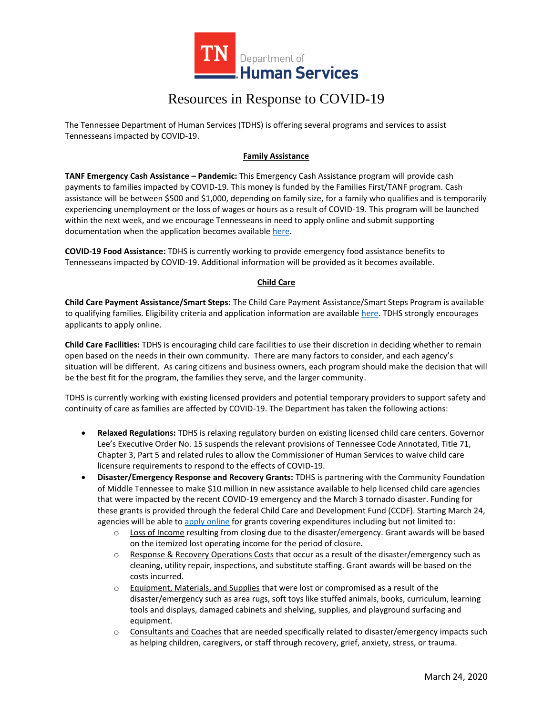

## Resources in Response to COVID-19

The Tennessee Department of Human Services (TDHS) is offering several programs and services to assist Tennesseans impacted by COVID-19.

### **Family Assistance**

**TANF Emergency Cash Assistance – Pandemic:** This Emergency Cash Assistance program will provide cash payments to families impacted by COVID-19. This money is funded by the Families First/TANF program. Cash assistance will be between \$500 and \$1,000, depending on family size, for a family who qualifies and is temporarily experiencing unemployment or the loss of wages or hours as a result of COVID-19. This program will be launched within the next week, and we encourage Tennesseans in need to apply online and submit supporting documentation when the application becomes available [here.](file:///C:/Users/de01eps/Desktop/Desktop%20Folder/Branded%20Materials/tn.gov/humanservices)

**COVID-19 Food Assistance:** TDHS is currently working to provide emergency food assistance benefits to Tennesseans impacted by COVID-19. Additional information will be provided as it becomes available.

#### **Child Care**

**Child Care Payment Assistance/Smart Steps:** The Child Care Payment Assistance/Smart Steps Program is available to qualifying families. Eligibility criteria and application information are available [here.](https://www.tn.gov/humanservices/for-families/child-care-services/child-care-payment-assistance.html) TDHS strongly encourages applicants to apply online.

**Child Care Facilities:** TDHS is encouraging child care facilities to use their discretion in deciding whether to remain open based on the needs in their own community. There are many factors to consider, and each agency's situation will be different. As caring citizens and business owners, each program should make the decision that will be the best fit for the program, the families they serve, and the larger community.

TDHS is currently working with existing licensed providers and potential temporary providers to support safety and continuity of care as families are affected by COVID-19. The Department has taken the following actions:

- **Relaxed Regulations:** TDHS is relaxing regulatory burden on existing licensed child care centers. Governor Lee's Executive Order No. 15 suspends the relevant provisions of Tennessee Code Annotated, Title 71, Chapter 3, Part 5 and related rules to allow the Commissioner of Human Services to waive child care licensure requirements to respond to the effects of COVID-19.
- **Disaster/Emergency Response and Recovery Grants:** TDHS is partnering with the Community Foundation of Middle Tennessee to make \$10 million in new assistance available to help licensed child care agencies that were impacted by the recent COVID-19 emergency and the March 3 tornado disaster. Funding for these grants is provided through the federal Child Care and Development Fund (CCDF). Starting March 24, agencies will be able t[o apply online](http://www.childcaretennessee.com/) for grants covering expenditures including but not limited to:
	- $\circ$  Loss of Income resulting from closing due to the disaster/emergency. Grant awards will be based on the itemized lost operating income for the period of closure.
	- $\circ$  Response & Recovery Operations Costs that occur as a result of the disaster/emergency such as cleaning, utility repair, inspections, and substitute staffing. Grant awards will be based on the costs incurred.
	- $\circ$  Equipment, Materials, and Supplies that were lost or compromised as a result of the disaster/emergency such as area rugs, soft toys like stuffed animals, books, curriculum, learning tools and displays, damaged cabinets and shelving, supplies, and playground surfacing and equipment.
	- o Consultants and Coaches that are needed specifically related to disaster/emergency impacts such as helping children, caregivers, or staff through recovery, grief, anxiety, stress, or trauma.